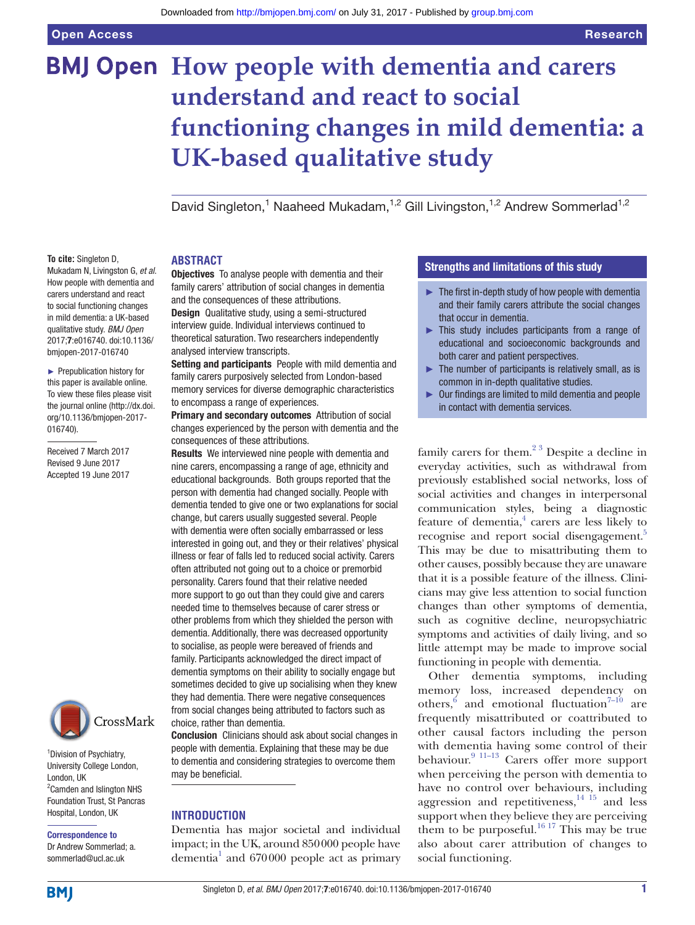# **BMJ Open** How people with dementia and carers **understand and react to social functioning changes in mild dementia: a UK-based qualitative study**

David Singleton,<sup>1</sup> Naaheed Mukadam,<sup>1,2</sup> Gill Livingston,<sup>1,2</sup> Andrew Sommerlad<sup>1,2</sup>

### **Abstract**

**Objectives** To analyse people with dementia and their family carers' attribution of social changes in dementia and the consequences of these attributions.

Design Qualitative study, using a semi-structured interview guide. Individual interviews continued to theoretical saturation. Two researchers independently analysed interview transcripts.

Setting and participants People with mild dementia and family carers purposively selected from London-based memory services for diverse demographic characteristics to encompass a range of experiences.

Primary and secondary outcomes Attribution of social changes experienced by the person with dementia and the consequences of these attributions.

Results We interviewed nine people with dementia and nine carers, encompassing a range of age, ethnicity and educational backgrounds. Both groups reported that the person with dementia had changed socially. People with dementia tended to give one or two explanations for social change, but carers usually suggested several. People with dementia were often socially embarrassed or less interested in going out, and they or their relatives' physical illness or fear of falls led to reduced social activity. Carers often attributed not going out to a choice or premorbid personality. Carers found that their relative needed more support to go out than they could give and carers needed time to themselves because of carer stress or other problems from which they shielded the person with dementia. Additionally, there was decreased opportunity to socialise, as people were bereaved of friends and family. Participants acknowledged the direct impact of dementia symptoms on their ability to socially engage but sometimes decided to give up socialising when they knew they had dementia. There were negative consequences from social changes being attributed to factors such as choice, rather than dementia.

Conclusion Clinicians should ask about social changes in people with dementia. Explaining that these may be due to dementia and considering strategies to overcome them may be beneficial.

#### **Introduction**

Dementia has major societal and individual impact; in the UK, around 850000 people have dementia<sup>1</sup> and 670000 people act as primary

#### Strengths and limitations of this study

- $\blacktriangleright$  The first in-depth study of how people with dementia and their family carers attribute the social changes that occur in dementia.
- ► This study includes participants from a range of educational and socioeconomic backgrounds and both carer and patient perspectives.
- The number of participants is relatively small, as is common in in-depth qualitative studies.
- ► Our findings are limited to mild dementia and people in contact with dementia services.

family carers for them. $2<sup>3</sup>$  Despite a decline in everyday activities, such as withdrawal from previously established social networks, loss of social activities and changes in interpersonal communication styles, being a diagnostic feature of dementia,<sup>4</sup> carers are less likely to recognise and report social disengagement.<sup>5</sup> This may be due to misattributing them to other causes, possibly because they are unaware that it is a possible feature of the illness. Clinicians may give less attention to social function changes than other symptoms of dementia, such as cognitive decline, neuropsychiatric symptoms and activities of daily living, and so little attempt may be made to improve social functioning in people with dementia.

Other dementia symptoms, including memory loss, increased dependency on others, $\frac{6}{10}$  $\frac{6}{10}$  $\frac{6}{10}$  and emotional fluctuation<sup>7-10</sup> are frequently misattributed or coattributed to other causal factors including the person with dementia having some control of their behaviour. $9^{11-13}$  Carers offer more support when perceiving the person with dementia to have no control over behaviours, including aggression and repetitiveness,  $14\overline{15}$  and less support when they believe they are perceiving them to be purposeful.<sup>[16 17](#page-7-8)</sup> This may be true also about carer attribution of changes to social functioning.

Mukadam N, Livingston G, *et al*. How people with dementia and carers understand and react to social functioning changes in mild dementia: a UK-based qualitative study. *BMJ Open* 2017;7:e016740. doi:10.1136/ bmjopen-2017-016740

**To cite:** Singleton D,

► Prepublication history for this paper is available online. To view these files please visit the journal online [\(http://dx.doi.](http://dx.doi.org/10.1136/bmjopen-2017-016740) [org/10.1136/bmjopen-2017-](http://dx.doi.org/10.1136/bmjopen-2017-016740) [016740\)](http://dx.doi.org/10.1136/bmjopen-2017-016740).

Received 7 March 2017 Revised 9 June 2017 Accepted 19 June 2017



1 Division of Psychiatry, University College London, London, UK <sup>2</sup> Camden and Islington NHS Foundation Trust, St Pancras Hospital, London, UK

Correspondence to Dr Andrew Sommerlad; a. sommerlad@ucl.ac.uk

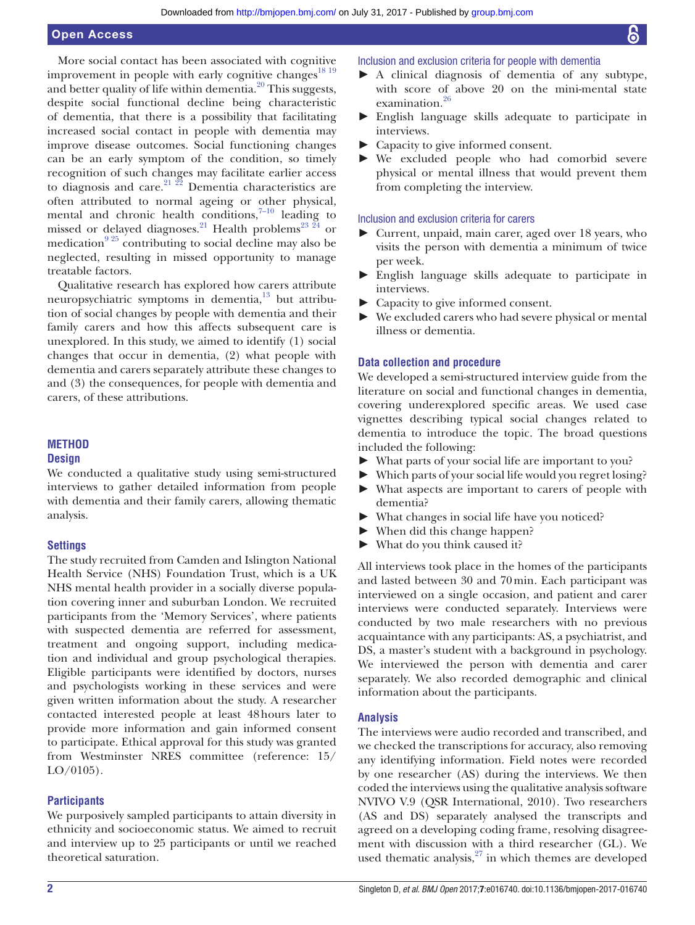More social contact has been associated with cognitive improvement in people with early cognitive changes<sup>18 19</sup> and better quality of life within dementia. $^{20}$  This suggests, despite social functional decline being characteristic of dementia, that there is a possibility that facilitating increased social contact in people with dementia may improve disease outcomes. Social functioning changes can be an early symptom of the condition, so timely recognition of such changes may facilitate earlier access to diagnosis and care.<sup>21</sup>  $\frac{22}{22}$  Dementia characteristics are often attributed to normal ageing or other physical, mental and chronic health conditions, $7-10$  leading to missed or delayed diagnoses.<sup>21</sup> Health problems<sup>23  $\tilde{24}$ </sup> or medication[9 25](#page-7-6) contributing to social decline may also be neglected, resulting in missed opportunity to manage treatable factors.

Qualitative research has explored how carers attribute neuropsychiatric symptoms in dementia,<sup>13</sup> but attribution of social changes by people with dementia and their family carers and how this affects subsequent care is unexplored. In this study, we aimed to identify (1) social changes that occur in dementia, (2) what people with dementia and carers separately attribute these changes to and (3) the consequences, for people with dementia and carers, of these attributions.

#### **Method**

#### **Design**

We conducted a qualitative study using semi-structured interviews to gather detailed information from people with dementia and their family carers, allowing thematic analysis.

#### **Settings**

The study recruited from Camden and Islington National Health Service (NHS) Foundation Trust, which is a UK NHS mental health provider in a socially diverse population covering inner and suburban London. We recruited participants from the 'Memory Services', where patients with suspected dementia are referred for assessment, treatment and ongoing support, including medication and individual and group psychological therapies. Eligible participants were identified by doctors, nurses and psychologists working in these services and were given written information about the study. A researcher contacted interested people at least 48hours later to provide more information and gain informed consent to participate. Ethical approval for this study was granted from Westminster NRES committee (reference: 15/  $LO/0105$ ).

#### **Participants**

We purposively sampled participants to attain diversity in ethnicity and socioeconomic status. We aimed to recruit and interview up to 25 participants or until we reached theoretical saturation.

#### Inclusion and exclusion criteria for people with dementia

- ► A clinical diagnosis of dementia of any subtype, with score of above 20 on the mini-mental state examination.<sup>[26](#page-7-14)</sup>
- ► English language skills adequate to participate in interviews.
- ► Capacity to give informed consent.
- ► We excluded people who had comorbid severe physical or mental illness that would prevent them from completing the interview.

#### Inclusion and exclusion criteria for carers

- Current, unpaid, main carer, aged over 18 years, who visits the person with dementia a minimum of twice per week.
- ► English language skills adequate to participate in interviews.
- ► Capacity to give informed consent.
- ► We excluded carers who had severe physical or mental illness or dementia.

#### **Data collection and procedure**

We developed a semi-structured interview guide from the literature on social and functional changes in dementia, covering underexplored specific areas. We used case vignettes describing typical social changes related to dementia to introduce the topic. The broad questions included the following:

- ► What parts of your social life are important to you?
- ► Which parts of your social life would you regret losing?
- ► What aspects are important to carers of people with dementia?
- ► What changes in social life have you noticed?
- ► When did this change happen?
- ► What do you think caused it?

All interviews took place in the homes of the participants and lasted between 30 and 70min. Each participant was interviewed on a single occasion, and patient and carer interviews were conducted separately. Interviews were conducted by two male researchers with no previous acquaintance with any participants: AS, a psychiatrist, and DS, a master's student with a background in psychology. We interviewed the person with dementia and carer separately. We also recorded demographic and clinical information about the participants.

#### **Analysis**

The interviews were audio recorded and transcribed, and we checked the transcriptions for accuracy, also removing any identifying information. Field notes were recorded by one researcher (AS) during the interviews. We then coded the interviews using the qualitative analysis software NVIVO V.9 (QSR International, 2010). Two researchers (AS and DS) separately analysed the transcripts and agreed on a developing coding frame, resolving disagreement with discussion with a third researcher (GL). We used thematic analysis, $27$  in which themes are developed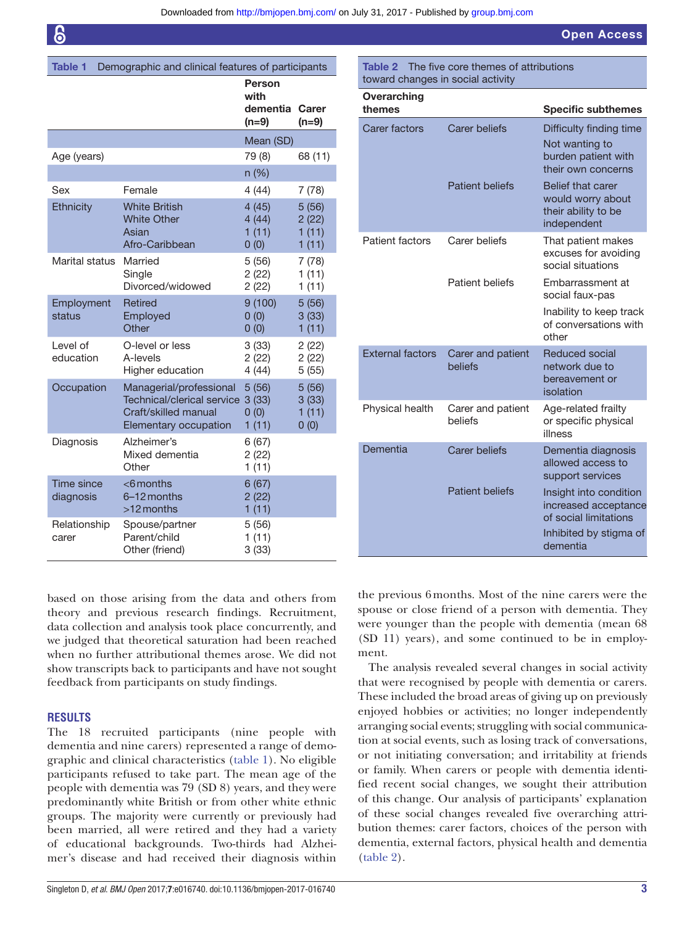<span id="page-2-0"></span>

| <b>Table 1</b><br>Demographic and clinical features of participants |                                                                                                        |                                              |                                  |  |
|---------------------------------------------------------------------|--------------------------------------------------------------------------------------------------------|----------------------------------------------|----------------------------------|--|
|                                                                     |                                                                                                        | <b>Person</b><br>with<br>dementia<br>$(n=9)$ | Carer<br>$(n=9)$                 |  |
|                                                                     |                                                                                                        | Mean (SD)                                    |                                  |  |
| Age (years)                                                         |                                                                                                        | 79 (8)                                       | 68 (11)                          |  |
|                                                                     |                                                                                                        | n (%)                                        |                                  |  |
| Sex                                                                 | Female                                                                                                 | 4 (44)                                       | 7(78)                            |  |
| Ethnicity                                                           | <b>White British</b><br><b>White Other</b><br>Asian<br>Afro-Caribbean                                  | 4(45)<br>4(44)<br>1(11)<br>0(0)              | 5(56)<br>2(22)<br>1(11)<br>1(11) |  |
| Marital status                                                      | Married<br>Single<br>Divorced/widowed                                                                  | 5(56)<br>2(22)<br>2(22)                      | 7 (78)<br>1(11)<br>1(11)         |  |
| Employment<br>status                                                | <b>Retired</b><br>Employed<br>Other                                                                    | 9(100)<br>0(0)<br>0(0)                       | 5(56)<br>3(33)<br>1(11)          |  |
| Level of<br>education                                               | O-level or less<br>A-levels<br>Higher education                                                        | 3(33)<br>2(22)<br>4 (44)                     | 2(22)<br>2(22)<br>5(55)          |  |
| Occupation                                                          | Managerial/professional<br>Technical/clerical service<br>Craft/skilled manual<br>Elementary occupation | 5(56)<br>3(33)<br>0(0)<br>1(11)              | 5(56)<br>3(33)<br>1(11)<br>0(0)  |  |
| Diagnosis                                                           | Alzheimer's<br>Mixed dementia<br>Other                                                                 | 6 (67)<br>2(22)<br>1(11)                     |                                  |  |
| <b>Time since</b><br>diagnosis                                      | $<$ 6 months<br>6-12 months<br>$>12$ months                                                            | 6(67)<br>2(22)<br>1(11)                      |                                  |  |
| Relationship<br>carer                                               | Spouse/partner<br>Parent/child<br>Other (friend)                                                       | 5(56)<br>1(11)<br>3(33)                      |                                  |  |

<span id="page-2-1"></span>Table 2 The five core themes of attributions toward changes in social activity

Open Access

| Overarching<br>themes   |                                     | <b>Specific subthemes</b>                                                              |
|-------------------------|-------------------------------------|----------------------------------------------------------------------------------------|
| Carer factors           | <b>Carer beliefs</b>                | Difficulty finding time<br>Not wanting to<br>burden patient with<br>their own concerns |
|                         | <b>Patient beliefs</b>              | <b>Belief that carer</b><br>would worry about<br>their ability to be<br>independent    |
| Patient factors         | Carer beliefs                       | That patient makes<br>excuses for avoiding<br>social situations                        |
|                         | Patient beliefs                     | Embarrassment at<br>social faux-pas                                                    |
|                         |                                     | Inability to keep track<br>of conversations with<br>other                              |
| <b>External factors</b> | Carer and patient<br><b>beliefs</b> | <b>Reduced social</b><br>network due to<br>bereavement or<br>isolation                 |
| Physical health         | Carer and patient<br>beliefs        | Age-related frailty<br>or specific physical<br>illness                                 |
| Dementia                | <b>Carer beliefs</b>                | Dementia diagnosis<br>allowed access to<br>support services                            |
|                         | <b>Patient beliefs</b>              | Insight into condition<br>increased acceptance<br>of social limitations                |
|                         |                                     | Inhibited by stigma of<br>dementia                                                     |

based on those arising from the data and others from theory and previous research findings. Recruitment, data collection and analysis took place concurrently, and we judged that theoretical saturation had been reached when no further attributional themes arose. We did not show transcripts back to participants and have not sought feedback from participants on study findings.

#### **Results**

The 18 recruited participants (nine people with dementia and nine carers) represented a range of demographic and clinical characteristics [\(table](#page-2-0) 1). No eligible participants refused to take part. The mean age of the people with dementia was 79 (SD 8) years, and they were predominantly white British or from other white ethnic groups. The majority were currently or previously had been married, all were retired and they had a variety of educational backgrounds. Two-thirds had Alzheimer's disease and had received their diagnosis within

the previous 6months. Most of the nine carers were the spouse or close friend of a person with dementia. They were younger than the people with dementia (mean 68 (SD 11) years), and some continued to be in employment.

The analysis revealed several changes in social activity that were recognised by people with dementia or carers. These included the broad areas of giving up on previously enjoyed hobbies or activities; no longer independently arranging social events; struggling with social communication at social events, such as losing track of conversations, or not initiating conversation; and irritability at friends or family. When carers or people with dementia identified recent social changes, we sought their attribution of this change. Our analysis of participants' explanation of these social changes revealed five overarching attribution themes: carer factors, choices of the person with dementia, external factors, physical health and dementia [\(table](#page-2-1) 2).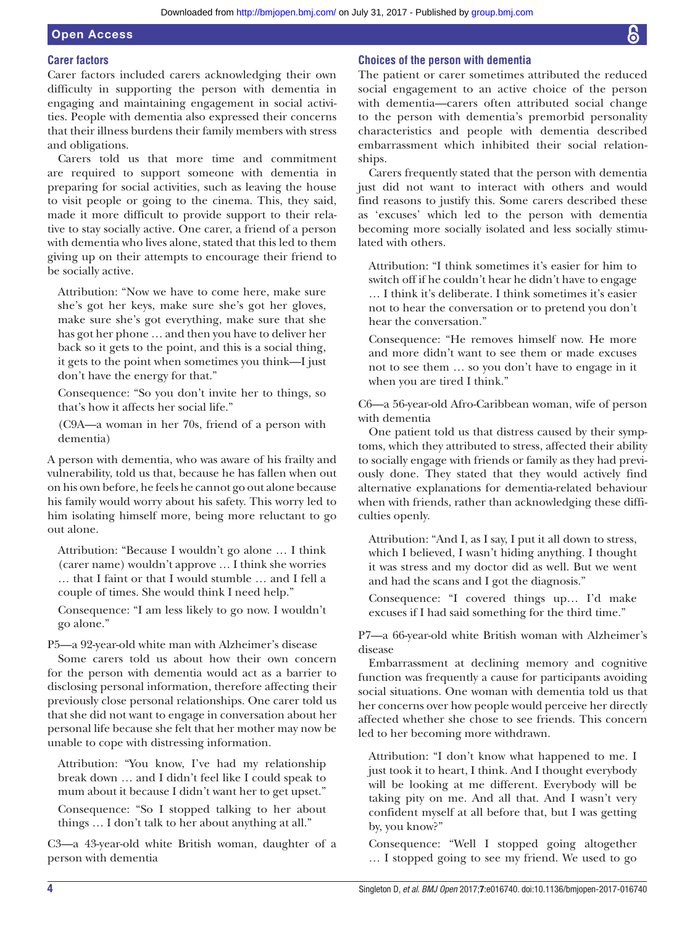## Open Access

#### **Carer factors**

Carer factors included carers acknowledging their own difficulty in supporting the person with dementia in engaging and maintaining engagement in social activities. People with dementia also expressed their concerns that their illness burdens their family members with stress and obligations.

Carers told us that more time and commitment are required to support someone with dementia in preparing for social activities, such as leaving the house to visit people or going to the cinema. This, they said, made it more difficult to provide support to their relative to stay socially active. One carer, a friend of a person with dementia who lives alone, stated that this led to them giving up on their attempts to encourage their friend to be socially active.

Attribution: "Now we have to come here, make sure she's got her keys, make sure she's got her gloves, make sure she's got everything, make sure that she has got her phone … and then you have to deliver her back so it gets to the point, and this is a social thing, it gets to the point when sometimes you think—I just don't have the energy for that."

Consequence: "So you don't invite her to things, so that's how it affects her social life."

(C9A—a woman in her 70s, friend of a person with dementia)

A person with dementia, who was aware of his frailty and vulnerability, told us that, because he has fallen when out on his own before, he feels he cannot go out alone because his family would worry about his safety. This worry led to him isolating himself more, being more reluctant to go out alone.

Attribution: "Because I wouldn't go alone … I think (carer name) wouldn't approve … I think she worries … that I faint or that I would stumble … and I fell a couple of times. She would think I need help."

Consequence: "I am less likely to go now. I wouldn't go alone."

P5—a 92-year-old white man with Alzheimer's disease

Some carers told us about how their own concern for the person with dementia would act as a barrier to disclosing personal information, therefore affecting their previously close personal relationships. One carer told us that she did not want to engage in conversation about her personal life because she felt that her mother may now be unable to cope with distressing information.

Attribution: "You know, I've had my relationship break down … and I didn't feel like I could speak to mum about it because I didn't want her to get upset."

Consequence: "So I stopped talking to her about things … I don't talk to her about anything at all."

C3—a 43-year-old white British woman, daughter of a person with dementia

#### **Choices of the person with dementia**

The patient or carer sometimes attributed the reduced social engagement to an active choice of the person with dementia—carers often attributed social change to the person with dementia's premorbid personality characteristics and people with dementia described embarrassment which inhibited their social relationships.

Carers frequently stated that the person with dementia just did not want to interact with others and would find reasons to justify this. Some carers described these as 'excuses' which led to the person with dementia becoming more socially isolated and less socially stimulated with others.

Attribution: "I think sometimes it's easier for him to switch off if he couldn't hear he didn't have to engage … I think it's deliberate. I think sometimes it's easier not to hear the conversation or to pretend you don't hear the conversation."

Consequence: "He removes himself now. He more and more didn't want to see them or made excuses not to see them … so you don't have to engage in it when you are tired I think."

C6—a 56-year-old Afro-Caribbean woman, wife of person with dementia

One patient told us that distress caused by their symptoms, which they attributed to stress, affected their ability to socially engage with friends or family as they had previously done. They stated that they would actively find alternative explanations for dementia-related behaviour when with friends, rather than acknowledging these difficulties openly.

Attribution: "And I, as I say, I put it all down to stress, which I believed, I wasn't hiding anything. I thought it was stress and my doctor did as well. But we went and had the scans and I got the diagnosis."

Consequence: "I covered things up… I'd make excuses if I had said something for the third time."

P7—a 66-year-old white British woman with Alzheimer's disease

Embarrassment at declining memory and cognitive function was frequently a cause for participants avoiding social situations. One woman with dementia told us that her concerns over how people would perceive her directly affected whether she chose to see friends. This concern led to her becoming more withdrawn.

Attribution: "I don't know what happened to me. I just took it to heart, I think. And I thought everybody will be looking at me different. Everybody will be taking pity on me. And all that. And I wasn't very confident myself at all before that, but I was getting by, you know?"

Consequence: "Well I stopped going altogether … I stopped going to see my friend. We used to go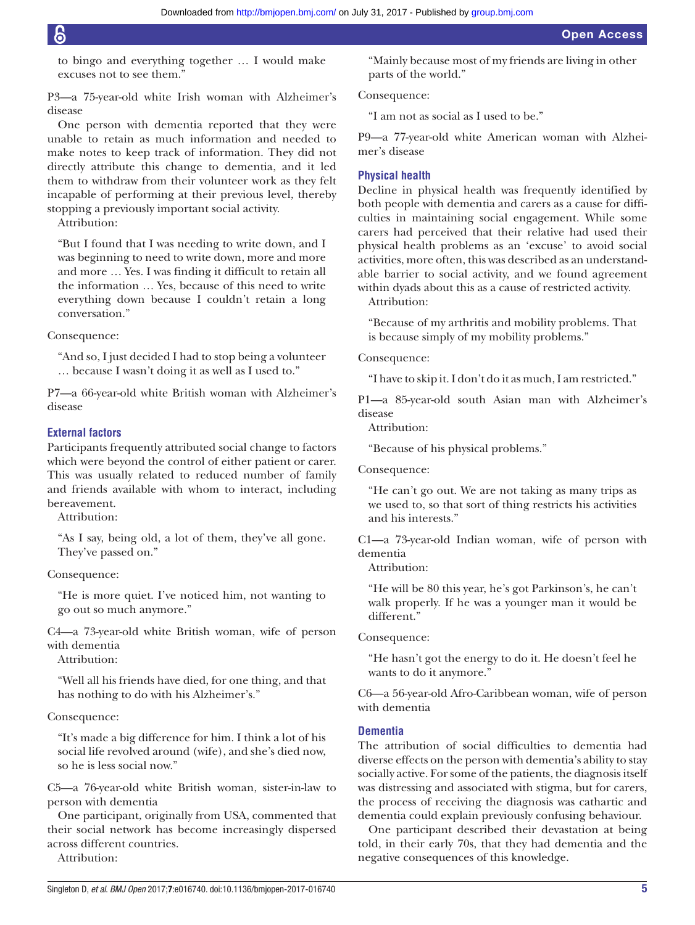Б

to bingo and everything together … I would make excuses not to see them."

P3—a 75-year-old white Irish woman with Alzheimer's disease

One person with dementia reported that they were unable to retain as much information and needed to make notes to keep track of information. They did not directly attribute this change to dementia, and it led them to withdraw from their volunteer work as they felt incapable of performing at their previous level, thereby stopping a previously important social activity.

Attribution:

"But I found that I was needing to write down, and I was beginning to need to write down, more and more and more … Yes. I was finding it difficult to retain all the information … Yes, because of this need to write everything down because I couldn't retain a long conversation."

Consequence:

"And so, I just decided I had to stop being a volunteer … because I wasn't doing it as well as I used to."

P7—a 66-year-old white British woman with Alzheimer's disease

#### **External factors**

Participants frequently attributed social change to factors which were beyond the control of either patient or carer. This was usually related to reduced number of family and friends available with whom to interact, including bereavement.

Attribution:

"As I say, being old, a lot of them, they've all gone. They've passed on."

Consequence:

"He is more quiet. I've noticed him, not wanting to go out so much anymore."

C4—a 73-year-old white British woman, wife of person with dementia

Attribution:

"Well all his friends have died, for one thing, and that has nothing to do with his Alzheimer's."

Consequence:

"It's made a big difference for him. I think a lot of his social life revolved around (wife), and she's died now, so he is less social now."

C5—a 76-year-old white British woman, sister-in-law to person with dementia

One participant, originally from USA, commented that their social network has become increasingly dispersed across different countries.

Attribution:

"Mainly because most of my friends are living in other parts of the world."

Consequence:

"I am not as social as I used to be."

P9—a 77-year-old white American woman with Alzheimer's disease

#### **Physical health**

Decline in physical health was frequently identified by both people with dementia and carers as a cause for difficulties in maintaining social engagement. While some carers had perceived that their relative had used their physical health problems as an 'excuse' to avoid social activities, more often, this was described as an understandable barrier to social activity, and we found agreement within dyads about this as a cause of restricted activity.

Attribution:

"Because of my arthritis and mobility problems. That is because simply of my mobility problems."

Consequence:

"I have to skip it. I don't do it as much, I am restricted."

P1—a 85-year-old south Asian man with Alzheimer's disease

Attribution:

"Because of his physical problems."

Consequence:

"He can't go out. We are not taking as many trips as we used to, so that sort of thing restricts his activities and his interests."

C1—a 73-year-old Indian woman, wife of person with dementia

Attribution:

"He will be 80 this year, he's got Parkinson's, he can't walk properly. If he was a younger man it would be different."

Consequence:

"He hasn't got the energy to do it. He doesn't feel he wants to do it anymore."

C6—a 56-year-old Afro-Caribbean woman, wife of person with dementia

#### **Dementia**

The attribution of social difficulties to dementia had diverse effects on the person with dementia's ability to stay socially active. For some of the patients, the diagnosis itself was distressing and associated with stigma, but for carers, the process of receiving the diagnosis was cathartic and dementia could explain previously confusing behaviour.

One participant described their devastation at being told, in their early 70s, that they had dementia and the negative consequences of this knowledge.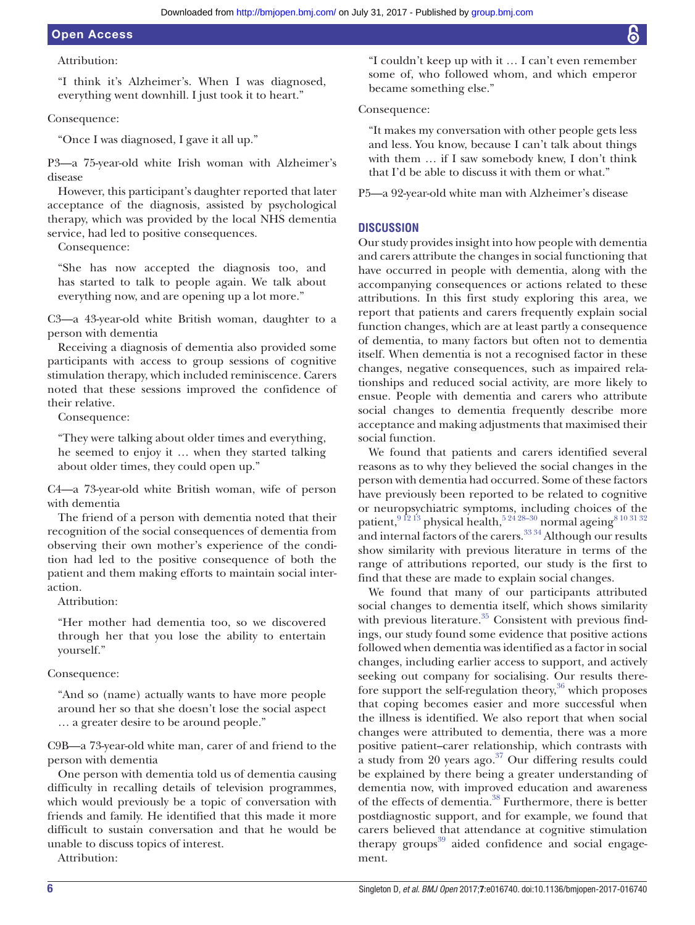## Open Access Attribution:

"I think it's Alzheimer's. When I was diagnosed, everything went downhill. I just took it to heart."

#### Consequence:

"Once I was diagnosed, I gave it all up."

P3—a 75-year-old white Irish woman with Alzheimer's disease

However, this participant's daughter reported that later acceptance of the diagnosis, assisted by psychological therapy, which was provided by the local NHS dementia service, had led to positive consequences.

Consequence:

"She has now accepted the diagnosis too, and has started to talk to people again. We talk about everything now, and are opening up a lot more."

C3—a 43-year-old white British woman, daughter to a person with dementia

Receiving a diagnosis of dementia also provided some participants with access to group sessions of cognitive stimulation therapy, which included reminiscence. Carers noted that these sessions improved the confidence of their relative.

Consequence:

"They were talking about older times and everything, he seemed to enjoy it … when they started talking about older times, they could open up."

C4—a 73-year-old white British woman, wife of person with dementia

The friend of a person with dementia noted that their recognition of the social consequences of dementia from observing their own mother's experience of the condition had led to the positive consequence of both the patient and them making efforts to maintain social interaction.

Attribution:

"Her mother had dementia too, so we discovered through her that you lose the ability to entertain yourself."

#### Consequence:

"And so (name) actually wants to have more people around her so that she doesn't lose the social aspect … a greater desire to be around people."

C9B—a 73-year-old white man, carer of and friend to the person with dementia

One person with dementia told us of dementia causing difficulty in recalling details of television programmes, which would previously be a topic of conversation with friends and family. He identified that this made it more difficult to sustain conversation and that he would be unable to discuss topics of interest.

Attribution:

"I couldn't keep up with it … I can't even remember some of, who followed whom, and which emperor became something else."

Consequence:

"It makes my conversation with other people gets less and less. You know, because I can't talk about things with them ... if I saw somebody knew, I don't think that I'd be able to discuss it with them or what."

P5—a 92-year-old white man with Alzheimer's disease

#### **Discussion**

Our study provides insight into how people with dementia and carers attribute the changes in social functioning that have occurred in people with dementia, along with the accompanying consequences or actions related to these attributions. In this first study exploring this area, we report that patients and carers frequently explain social function changes, which are at least partly a consequence of dementia, to many factors but often not to dementia itself. When dementia is not a recognised factor in these changes, negative consequences, such as impaired relationships and reduced social activity, are more likely to ensue. People with dementia and carers who attribute social changes to dementia frequently describe more acceptance and making adjustments that maximised their social function.

We found that patients and carers identified several reasons as to why they believed the social changes in the person with dementia had occurred. Some of these factors have previously been reported to be related to cognitive or neuropsychiatric symptoms, including choices of the patient, $^{9 \; \rm{I}2 \; \rm{I}3}$  physical health, $^{5 \; \rm{24 \; 28 \! \sim \! 30}}$  normal ageing $^{8 \; \rm{10 \; \rm{31 \; \rm{32}}}}$ and internal factors of the carers.<sup>[33 34](#page-7-17)</sup> Although our results show similarity with previous literature in terms of the range of attributions reported, our study is the first to find that these are made to explain social changes.

We found that many of our participants attributed social changes to dementia itself, which shows similarity with previous literature. $35$  Consistent with previous findings, our study found some evidence that positive actions followed when dementia was identified as a factor in social changes, including earlier access to support, and actively seeking out company for socialising. Our results therefore support the self-regulation theory, $36$  which proposes that coping becomes easier and more successful when the illness is identified. We also report that when social changes were attributed to dementia, there was a more positive patient–carer relationship, which contrasts with a study from 20 years ago.<sup>[37](#page-7-20)</sup> Our differing results could be explained by there being a greater understanding of dementia now, with improved education and awareness of the effects of dementia.[38](#page-7-21) Furthermore, there is better postdiagnostic support, and for example, we found that carers believed that attendance at cognitive stimulation therapy groups $39$  aided confidence and social engagement.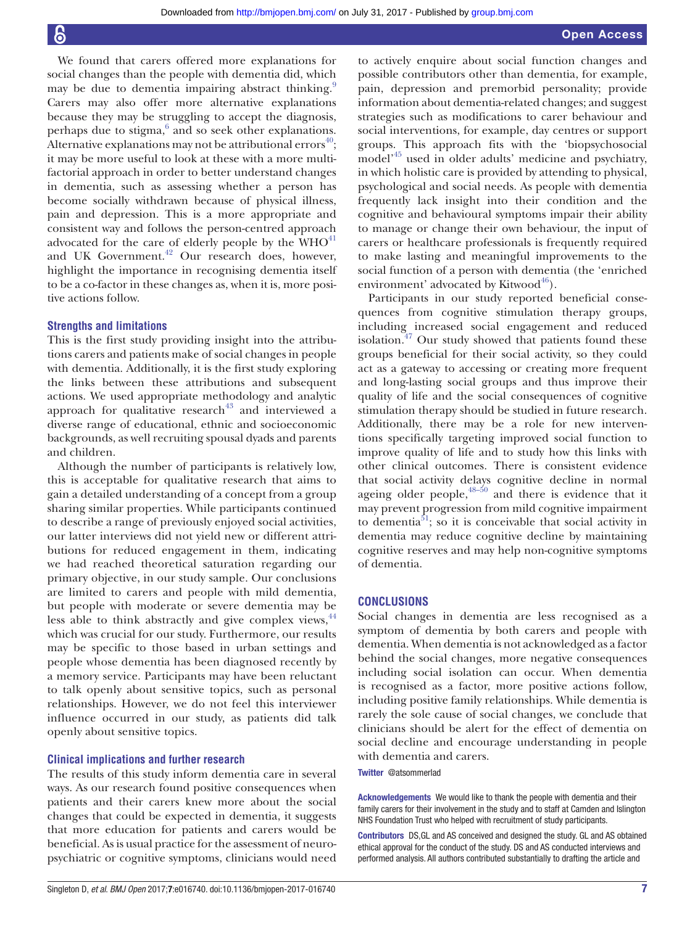We found that carers offered more explanations for social changes than the people with dementia did, which may be due to dementia impairing abstract thinking.<sup>[9](#page-7-6)</sup> Carers may also offer more alternative explanations because they may be struggling to accept the diagnosis, perhaps due to stigma,<sup>[6](#page-7-4)</sup> and so seek other explanations. Alternative explanations may not be attributional errors $^{40}$  $^{40}$  $^{40}$ ; it may be more useful to look at these with a more multifactorial approach in order to better understand changes in dementia, such as assessing whether a person has become socially withdrawn because of physical illness, pain and depression. This is a more appropriate and consistent way and follows the person-centred approach advocated for the care of elderly people by the  $WHO<sup>41</sup>$ and UK Government.<sup>42</sup> Our research does, however, highlight the importance in recognising dementia itself to be a co-factor in these changes as, when it is, more positive actions follow.

#### **Strengths and limitations**

This is the first study providing insight into the attributions carers and patients make of social changes in people with dementia. Additionally, it is the first study exploring the links between these attributions and subsequent actions. We used appropriate methodology and analytic approach for qualitative research $43$  and interviewed a diverse range of educational, ethnic and socioeconomic backgrounds, as well recruiting spousal dyads and parents and children.

Although the number of participants is relatively low, this is acceptable for qualitative research that aims to gain a detailed understanding of a concept from a group sharing similar properties. While participants continued to describe a range of previously enjoyed social activities, our latter interviews did not yield new or different attributions for reduced engagement in them, indicating we had reached theoretical saturation regarding our primary objective, in our study sample. Our conclusions are limited to carers and people with mild dementia, but people with moderate or severe dementia may be less able to think abstractly and give complex views,  $44$ which was crucial for our study. Furthermore, our results may be specific to those based in urban settings and people whose dementia has been diagnosed recently by a memory service. Participants may have been reluctant to talk openly about sensitive topics, such as personal relationships. However, we do not feel this interviewer influence occurred in our study, as patients did talk openly about sensitive topics.

#### **Clinical implications and further research**

The results of this study inform dementia care in several ways. As our research found positive consequences when patients and their carers knew more about the social changes that could be expected in dementia, it suggests that more education for patients and carers would be beneficial. As is usual practice for the assessment of neuropsychiatric or cognitive symptoms, clinicians would need

to actively enquire about social function changes and possible contributors other than dementia, for example, pain, depression and premorbid personality; provide information about dementia-related changes; and suggest strategies such as modifications to carer behaviour and social interventions, for example, day centres or support groups. This approach fits with the 'biopsychosocial model'[45](#page-7-28) used in older adults' medicine and psychiatry, in which holistic care is provided by attending to physical, psychological and social needs. As people with dementia frequently lack insight into their condition and the cognitive and behavioural symptoms impair their ability to manage or change their own behaviour, the input of carers or healthcare professionals is frequently required to make lasting and meaningful improvements to the social function of a person with dementia (the 'enriched environment' advocated by Kitwood $^{46}$ ).

Participants in our study reported beneficial consequences from cognitive stimulation therapy groups, including increased social engagement and reduced isolation. $47$  Our study showed that patients found these groups beneficial for their social activity, so they could act as a gateway to accessing or creating more frequent and long-lasting social groups and thus improve their quality of life and the social consequences of cognitive stimulation therapy should be studied in future research. Additionally, there may be a role for new interventions specifically targeting improved social function to improve quality of life and to study how this links with other clinical outcomes. There is consistent evidence that social activity delays cognitive decline in normal ageing older people, $48-50$  and there is evidence that it may prevent progression from mild cognitive impairment to dementia $51$ ; so it is conceivable that social activity in dementia may reduce cognitive decline by maintaining cognitive reserves and may help non-cognitive symptoms of dementia.

#### **Conclusions**

Social changes in dementia are less recognised as a symptom of dementia by both carers and people with dementia. When dementia is not acknowledged as a factor behind the social changes, more negative consequences including social isolation can occur. When dementia is recognised as a factor, more positive actions follow, including positive family relationships. While dementia is rarely the sole cause of social changes, we conclude that clinicians should be alert for the effect of dementia on social decline and encourage understanding in people with dementia and carers.

Twitter @atsommerlad

Acknowledgements We would like to thank the people with dementia and their family carers for their involvement in the study and to staff at Camden and Islington NHS Foundation Trust who helped with recruitment of study participants.

Contributors DS,GL and AS conceived and designed the study. GL and AS obtained ethical approval for the conduct of the study. DS and AS conducted interviews and performed analysis. All authors contributed substantially to drafting the article and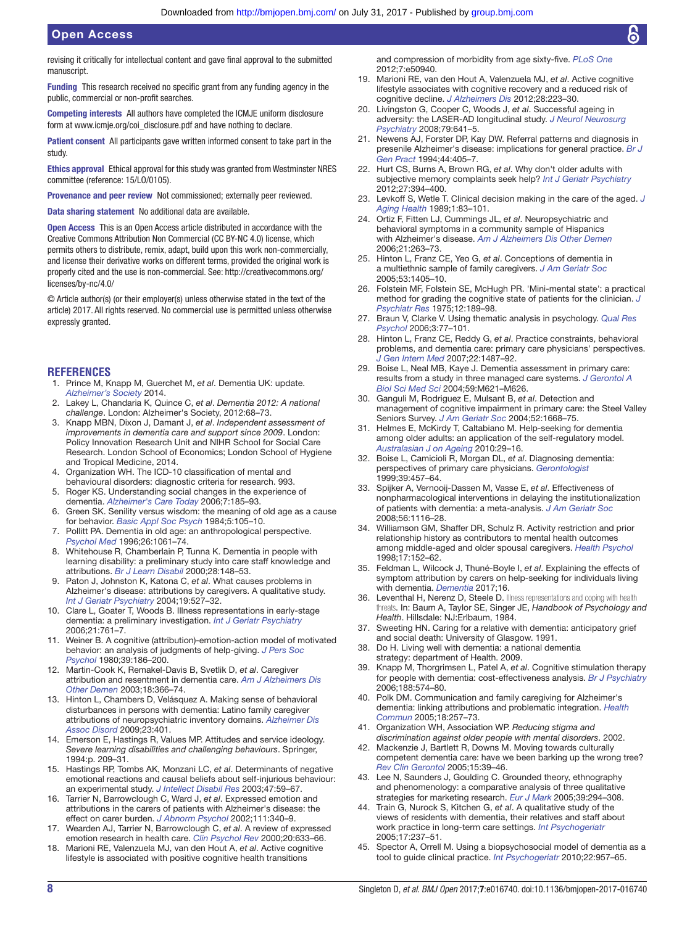#### Open Access

revising it critically for intellectual content and gave final approval to the submitted manuscript

Funding This research received no specific grant from any funding agency in the public, commercial or non-profit searches.

Competing interests All authors have completed the ICMJE uniform disclosure form at www.icmje.org/coi\_disclosure.pdf and have nothing to declare.

Patient consent All participants gave written informed consent to take part in the study

Ethics approval Ethical approval for this study was granted from Westminster NRES committee (reference: 15/LO/0105).

Provenance and peer review Not commissioned; externally peer reviewed.

Data sharing statement No additional data are available.

Open Access This is an Open Access article distributed in accordance with the Creative Commons Attribution Non Commercial (CC BY-NC 4.0) license, which permits others to distribute, remix, adapt, build upon this work non-commercially, and license their derivative works on different terms, provided the original work is properly cited and the use is non-commercial. See: [http://creativecommons.org/](http://creativecommons.org/licenses/by-nc/4.0/) [licenses/by-nc/4.0/](http://creativecommons.org/licenses/by-nc/4.0/)

© Article author(s) (or their employer(s) unless otherwise stated in the text of the article) 2017. All rights reserved. No commercial use is permitted unless otherwise expressly granted.

#### **References**

- <span id="page-7-0"></span>1. Prince M, Knapp M, Guerchet M, *et al*. Dementia UK: update. *Alzheimer's Society* 2014.
- <span id="page-7-1"></span>2. Lakey L, Chandaria K, Quince C, *et al*. *Dementia 2012: A national challenge*. London: Alzheimer's Society, 2012:68–73.
- 3. Knapp MBN, Dixon J, Damant J, *et al*. *Independent assessment of improvements in dementia care and support since 2009*. London: Policy Innovation Research Unit and NIHR School for Social Care Research. London School of Economics; London School of Hygiene and Tropical Medicine, 2014.
- <span id="page-7-2"></span>4. Organization WH. The ICD-10 classification of mental and behavioural disorders: diagnostic criteria for research. 993.
- <span id="page-7-3"></span>5. Roger KS. Understanding social changes in the experience of dementia. *Alzheimer's Care Today* 2006;7:185–93.
- <span id="page-7-4"></span>6. Green SK. Senility versus wisdom: the meaning of old age as a cause for behavior. *[Basic Appl Soc Psych](http://dx.doi.org/10.1207/s15324834basp0502_2)* 1984;5:105–10.
- <span id="page-7-5"></span>7. Pollitt PA. Dementia in old age: an anthropological perspective. *[Psychol Med](http://dx.doi.org/10.1017/S0033291700035388)* 1996;26:1061–74.
- <span id="page-7-16"></span>Whitehouse R, Chamberlain P, Tunna K. Dementia in people with learning disability: a preliminary study into care staff knowledge and attributions. *[Br J Learn Disabil](http://dx.doi.org/10.1046/j.1468-3156.2000.00057.x)* 2000;28:148–53.
- <span id="page-7-6"></span>9. Paton J, Johnston K, Katona C, *et al*. What causes problems in Alzheimer's disease: attributions by caregivers. A qualitative study. *[Int J Geriatr Psychiatry](http://dx.doi.org/10.1002/gps.1118)* 2004;19:527–32.
- 10. Clare L, Goater T, Woods B. Illness representations in early-stage dementia: a preliminary investigation. *[Int J Geriatr Psychiatry](http://dx.doi.org/10.1002/gps.1558)* 2006;21:761–7.
- 11. Weiner B. A cognitive (attribution)-emotion-action model of motivated behavior: an analysis of judgments of help-giving. *[J Pers Soc](http://dx.doi.org/10.1037/0022-3514.39.2.186)  [Psychol](http://dx.doi.org/10.1037/0022-3514.39.2.186)* 1980;39:186–200.
- 12. Martin-Cook K, Remakel-Davis B, Svetlik D, *et al*. Caregiver attribution and resentment in dementia care. *[Am J Alzheimers Dis](http://dx.doi.org/10.1177/153331750301800606)  [Other Demen](http://dx.doi.org/10.1177/153331750301800606)* 2003;18:366–74.
- <span id="page-7-13"></span>13. Hinton L, Chambers D, Velásquez A. Making sense of behavioral disturbances in persons with dementia: Latino family caregiver attributions of neuropsychiatric inventory domains. *[Alzheimer Dis](http://dx.doi.org/10.1097/WAD.0b013e3181a6bc21)  [Assoc Disord](http://dx.doi.org/10.1097/WAD.0b013e3181a6bc21)* 2009;23:401.
- <span id="page-7-7"></span>14. Emerson E, Hastings R, Values MP. Attitudes and service ideology. *Severe learning disabilities and challenging behaviours*. Springer, 1994:p. 209–31.
- 15. Hastings RP, Tombs AK, Monzani LC, *et al*. Determinants of negative emotional reactions and causal beliefs about self-injurious behaviour: an experimental study. *[J Intellect Disabil Res](http://dx.doi.org/10.1046/j.1365-2788.2003.t01-1-00456.x)* 2003;47:59–67.
- <span id="page-7-8"></span>16. Tarrier N, Barrowclough C, Ward J, *et al*. Expressed emotion and attributions in the carers of patients with Alzheimer's disease: the effect on carer burden. *[J Abnorm Psychol](http://dx.doi.org/10.1037/0021-843X.111.2.340)* 2002;111:340–9.
- 17. Wearden AJ, Tarrier N, Barrowclough C, *et al*. A review of expressed emotion research in health care. *[Clin Psychol Rev](http://dx.doi.org/10.1016/S0272-7358(99)00008-2)* 2000;20:633–66.
- <span id="page-7-9"></span>18. Marioni RE, Valenzuela MJ, van den Hout A, *et al*. Active cognitive lifestyle is associated with positive cognitive health transitions

and compression of morbidity from age sixty-five. *[PLoS One](http://dx.doi.org/10.1371/journal.pone.0050940)* 2012;7:e50940.

- 19. Marioni RE, van den Hout A, Valenzuela MJ, *et al*. Active cognitive lifestyle associates with cognitive recovery and a reduced risk of cognitive decline. *[J Alzheimers Dis](http://dx.doi.org/10.3233/JAD-2011-110377)* 2012;28:223–30.
- <span id="page-7-10"></span>20. Livingston G, Cooper C, Woods J, *et al*. Successful ageing in adversity: the LASER-AD longitudinal study. *[J Neurol Neurosurg](http://dx.doi.org/10.1136/jnnp.2007.126706)  [Psychiatry](http://dx.doi.org/10.1136/jnnp.2007.126706)* 2008;79:641–5.
- <span id="page-7-11"></span>21. Newens AJ, Forster DP, Kay DW. Referral patterns and diagnosis in presenile Alzheimer's disease: implications for general practice. *Br J Gen Pract* 1994;44:405–7.
- 22. Hurt CS, Burns A, Brown RG, *et al*. Why don't older adults with subjective memory complaints seek help? *[Int J Geriatr Psychiatry](http://dx.doi.org/10.1002/gps.2731)* 2012;27:394–400.
- <span id="page-7-12"></span>23. Levkoff S, Wetle T. Clinical decision making in the care of the aged. *[J](http://dx.doi.org/10.1177/089826438900100106)  [Aging Health](http://dx.doi.org/10.1177/089826438900100106)* 1989;1:83–101.
- 24. Ortiz F, Fitten LJ, Cummings JL, *et al*. Neuropsychiatric and behavioral symptoms in a community sample of Hispanics with Alzheimer's disease. *[Am J Alzheimers Dis Other Demen](http://dx.doi.org/10.1177/1533317506289350)* 2006;21:263–73.
- 25. Hinton L, Franz CE, Yeo G, *et al*. Conceptions of dementia in a multiethnic sample of family caregivers. *[J Am Geriatr Soc](http://dx.doi.org/10.1111/j.1532-5415.2005.53409.x)* 2005;53:1405–10.
- <span id="page-7-14"></span>26. Folstein MF, Folstein SE, McHugh PR. 'Mini-mental state': a practical method for grading the cognitive state of patients for the clinician. *J Psychiatr Res* 1975;12:189–98.
- <span id="page-7-15"></span>27. Braun V, Clarke V. Using thematic analysis in psychology. *[Qual Res](http://dx.doi.org/10.1191/1478088706qp063oa)  [Psychol](http://dx.doi.org/10.1191/1478088706qp063oa)* 2006;3:77–101.
- 28. Hinton L, Franz CE, Reddy G, *et al*. Practice constraints, behavioral problems, and dementia care: primary care physicians' perspectives. *[J Gen Intern Med](http://dx.doi.org/10.1007/s11606-007-0317-y)* 2007;22:1487–92.
- 29. Boise L, Neal MB, Kaye J. Dementia assessment in primary care: results from a study in three managed care systems. *[J Gerontol A](http://dx.doi.org/10.1093/gerona/59.6.M621)  [Biol Sci Med Sci](http://dx.doi.org/10.1093/gerona/59.6.M621)* 2004;59:M621–M626.
- 30. Ganguli M, Rodriguez E, Mulsant B, *et al*. Detection and management of cognitive impairment in primary care: the Steel Valley Seniors Survey. *[J Am Geriatr Soc](http://dx.doi.org/10.1111/j.1532-5415.2004.52459.x)* 2004;52:1668–75.
- 31. Helmes E, McKirdy T, Caltabiano M. Help-seeking for dementia among older adults: an application of the self-regulatory model. *Australasian J on Ageing* 2010:29–16.
- 32. Boise L, Camicioli R, Morgan DL, *et al*. Diagnosing dementia: perspectives of primary care physicians. *[Gerontologist](http://dx.doi.org/10.1093/geront/39.4.457)* 1999;39:457–64.
- <span id="page-7-17"></span>33. Spijker A, Vernooij-Dassen M, Vasse E, *et al*. Effectiveness of nonpharmacological interventions in delaying the institutionalization of patients with dementia: a meta-analysis. *[J Am Geriatr Soc](http://dx.doi.org/10.1111/j.1532-5415.2008.01705.x)* 2008;56:1116–28.
- 34. Williamson GM, Shaffer DR, Schulz R. Activity restriction and prior relationship history as contributors to mental health outcomes among middle-aged and older spousal caregivers. *[Health Psychol](http://dx.doi.org/10.1037/0278-6133.17.2.152)* 1998;17:152–62.
- <span id="page-7-18"></span>35. Feldman L, Wilcock J, Thuné-Boyle I, *et al*. Explaining the effects of symptom attribution by carers on help-seeking for individuals living with dementia. *[Dementia](http://dx.doi.org/10.1177/1471301215593185)* 2017;16.
- <span id="page-7-19"></span>36. Leventhal H, Nerenz D, Steele D. Illness representations and coping with health threats. In: Baum A, Taylor SE, Singer JE, *Handbook of Psychology and Health*. Hillsdale: NJ:Erlbaum, 1984.
- <span id="page-7-20"></span>37. Sweeting HN. Caring for a relative with dementia: anticipatory grief and social death: University of Glasgow. 1991.
- <span id="page-7-21"></span>38. Do H. Living well with dementia: a national dementia strategy: department of Health. 2009.
- <span id="page-7-22"></span>39. Knapp M, Thorgrimsen L, Patel A, *et al*. Cognitive stimulation therapy for people with dementia: cost-effectiveness analysis. *[Br J Psychiatry](http://dx.doi.org/10.1192/bjp.bp.105.010561)* 2006;188:574–80.
- <span id="page-7-23"></span>40. Polk DM. Communication and family caregiving for Alzheimer's dementia: linking attributions and problematic integration. *[Health](http://dx.doi.org/10.1207/s15327027hc1803_4)  [Commun](http://dx.doi.org/10.1207/s15327027hc1803_4)* 2005;18:257–73.
- <span id="page-7-24"></span>41. Organization WH, Association WP. *Reducing stigma and discrimination against older people with mental disorders*. 2002.
- <span id="page-7-25"></span>42. Mackenzie J, Bartlett R, Downs M. Moving towards culturally competent dementia care: have we been barking up the wrong tree? *[Rev Clin Gerontol](http://dx.doi.org/10.1017/S0959259805001644)* 2005;15:39–46.
- <span id="page-7-26"></span>43. Lee N, Saunders J, Goulding C. Grounded theory, ethnography and phenomenology: a comparative analysis of three qualitative strategies for marketing research. *Eur J Mark* 2005;39:294–308.
- <span id="page-7-27"></span>44. Train G, Nurock S, Kitchen G, *et al*. A qualitative study of the views of residents with dementia, their relatives and staff about work practice in long-term care settings. *[Int Psychogeriatr](http://dx.doi.org/10.1017/S1041610205001729)* 2005;17:237–51.
- <span id="page-7-28"></span>45. Spector A, Orrell M. Using a biopsychosocial model of dementia as a tool to guide clinical practice. *[Int Psychogeriatr](http://dx.doi.org/10.1017/S1041610210000840)* 2010;22:957–65.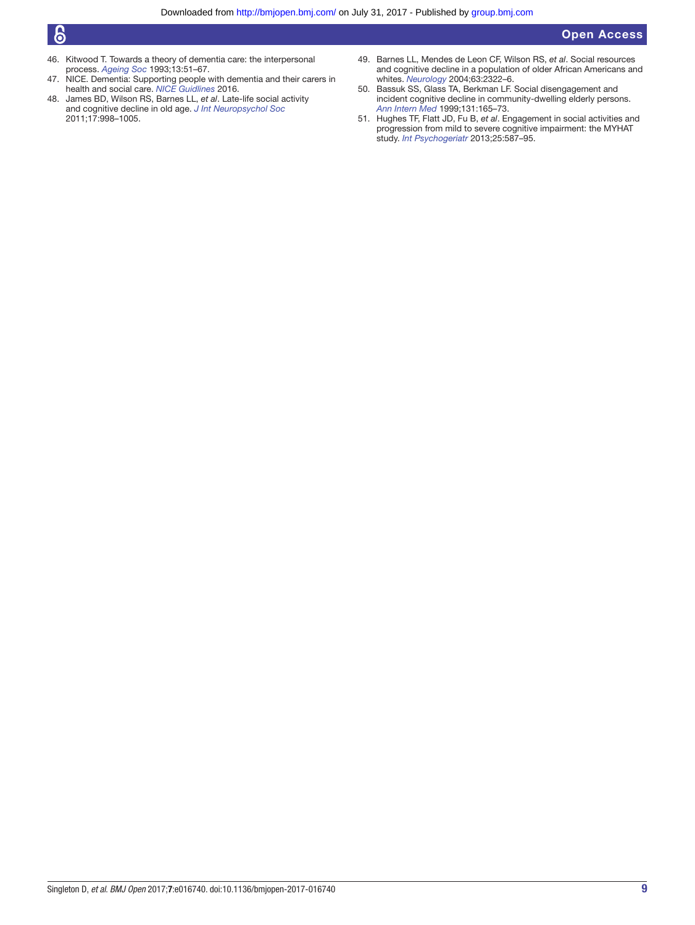## $\bm{6}$

- <span id="page-8-0"></span>46. Kitwood T. Towards a theory of dementia care: the interpersonal process. *[Ageing Soc](http://dx.doi.org/10.1017/S0144686X00000647)* 1993;13:51–67.
- <span id="page-8-1"></span>47. NICE. Dementia: Supporting people with dementia and their carers in health and social care. *NICE Guidlines* 2016.
- <span id="page-8-2"></span>48. James BD, Wilson RS, Barnes LL, *et al*. Late-life social activity and cognitive decline in old age. *[J Int Neuropsychol Soc](http://dx.doi.org/10.1017/S1355617711000531)* 2011;17:998–1005.
- 49. Barnes LL, Mendes de Leon CF, Wilson RS, *et al*. Social resources and cognitive decline in a population of older African Americans and whites. *[Neurology](http://dx.doi.org/10.1212/01.WNL.0000147473.04043.B3)* 2004;63:2322–6.
- 50. Bassuk SS, Glass TA, Berkman LF. Social disengagement and incident cognitive decline in community-dwelling elderly persons. *[Ann Intern Med](http://dx.doi.org/10.7326/0003-4819-131-3-199908030-00002)* 1999;131:165–73.
- <span id="page-8-3"></span>51. Hughes TF, Flatt JD, Fu B, *et al*. Engagement in social activities and progression from mild to severe cognitive impairment: the MYHAT study. *[Int Psychogeriatr](http://dx.doi.org/10.1017/S1041610212002086)* 2013;25:587–95.